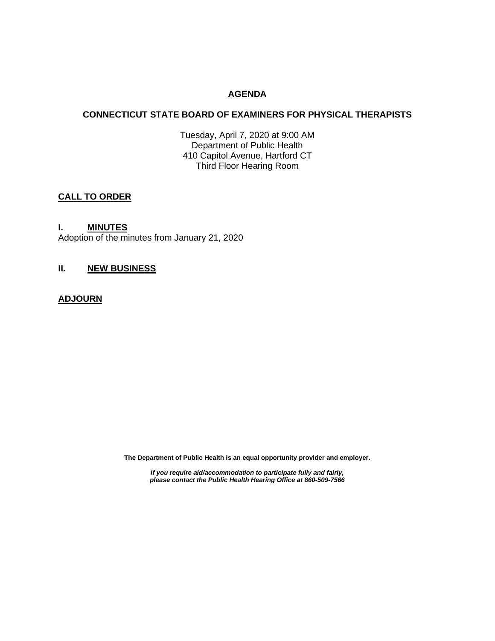## **AGENDA**

## **CONNECTICUT STATE BOARD OF EXAMINERS FOR PHYSICAL THERAPISTS**

Tuesday, April 7, 2020 at 9:00 AM Department of Public Health 410 Capitol Avenue, Hartford CT Third Floor Hearing Room

# **CALL TO ORDER**

## **I. MINUTES**

Adoption of the minutes from January 21, 2020

## **II. NEW BUSINESS**

## **ADJOURN**

**The Department of Public Health is an equal opportunity provider and employer.**

*If you require aid/accommodation to participate fully and fairly, please contact the Public Health Hearing Office at 860-509-7566*